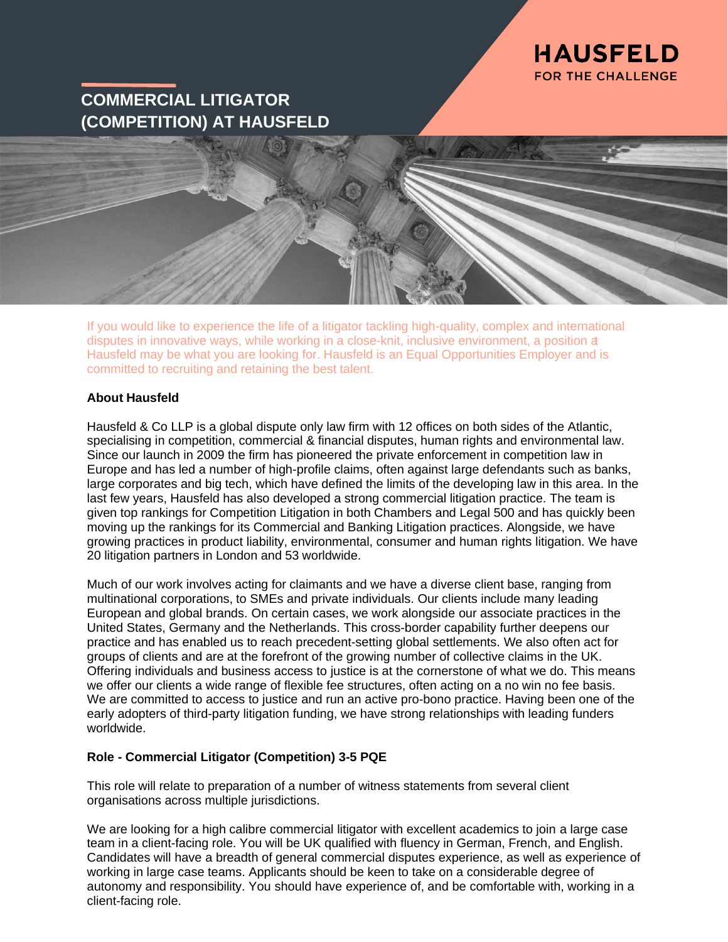

# **COMMERCIAL LITIGATOR (COMPETITION) AT HAUSFELD**



If you would like to experience the life of a litigator tackling high-quality, complex and international disputes in innovative ways, while working in a close-knit, inclusive environment, a position at Hausfeld may be what you are looking for. Hausfeld is an Equal Opportunities Employer and is committed to recruiting and retaining the best talent.

### **About Hausfeld**

Hausfeld & Co LLP is a global dispute only law firm with 12 offices on both sides of the Atlantic, specialising in competition, commercial & financial disputes, human rights and environmental law. Since our launch in 2009 the firm has pioneered the private enforcement in competition law in Europe and has led a number of high-profile claims, often against large defendants such as banks, large corporates and big tech, which have defined the limits of the developing law in this area. In the last few years, Hausfeld has also developed a strong commercial litigation practice. The team is given top rankings for Competition Litigation in both Chambers and Legal 500 and has quickly been moving up the rankings for its Commercial and Banking Litigation practices. Alongside, we have growing practices in product liability, environmental, consumer and human rights litigation. We have 20 litigation partners in London and 53 worldwide.

Much of our work involves acting for claimants and we have a diverse client base, ranging from multinational corporations, to SMEs and private individuals. Our clients include many leading European and global brands. On certain cases, we work alongside our associate practices in the United States, Germany and the Netherlands. This cross-border capability further deepens our practice and has enabled us to reach precedent-setting global settlements. We also often act for groups of clients and are at the forefront of the growing number of collective claims in the UK. Offering individuals and business access to justice is at the cornerstone of what we do. This means we offer our clients a wide range of flexible fee structures, often acting on a no win no fee basis. We are committed to access to justice and run an active pro-bono practice. Having been one of the early adopters of third-party litigation funding, we have strong relationships with leading funders worldwide.

## **Role - Commercial Litigator (Competition) 3-5 PQE**

This role will relate to preparation of a number of witness statements from several client organisations across multiple jurisdictions.

We are looking for a high calibre commercial litigator with excellent academics to join a large case team in a client-facing role. You will be UK qualified with fluency in German, French, and English. Candidates will have a breadth of general commercial disputes experience, as well as experience of working in large case teams. Applicants should be keen to take on a considerable degree of autonomy and responsibility. You should have experience of, and be comfortable with, working in a client-facing role.